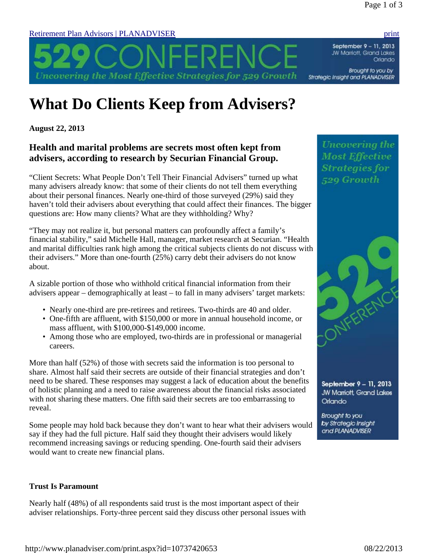September 9 - 11, 2013 JW Marriott, Grand Lakes Orlando

Brought to you by Strategic Insight and PLANADVISER

> **Uncovering the Most Effective Strategies for** 529 Growth

Retirement Plan Advisors | PLANADVISER print

# **What Do Clients Keep from Advisers?**

Uncovering the Most Effective Strategies for 529 Growth

**August 22, 2013**

# **Health and marital problems are secrets most often kept from advisers, according to research by Securian Financial Group.**

"Client Secrets: What People Don't Tell Their Financial Advisers" turned up what many advisers already know: that some of their clients do not tell them everything about their personal finances. Nearly one-third of those surveyed (29%) said they haven't told their advisers about everything that could affect their finances. The bigger questions are: How many clients? What are they withholding? Why?

"They may not realize it, but personal matters can profoundly affect a family's financial stability," said Michelle Hall, manager, market research at Securian. "Health and marital difficulties rank high among the critical subjects clients do not discuss with their advisers." More than one-fourth (25%) carry debt their advisers do not know about.

A sizable portion of those who withhold critical financial information from their advisers appear – demographically at least – to fall in many advisers' target markets:

- Nearly one-third are pre-retirees and retirees. Two-thirds are 40 and older.
- One-fifth are affluent, with \$150,000 or more in annual household income, or mass affluent, with \$100,000-\$149,000 income.
- Among those who are employed, two-thirds are in professional or managerial careers.

More than half (52%) of those with secrets said the information is too personal to share. Almost half said their secrets are outside of their financial strategies and don't need to be shared. These responses may suggest a lack of education about the benefits of holistic planning and a need to raise awareness about the financial risks associated with not sharing these matters. One fifth said their secrets are too embarrassing to reveal.

Some people may hold back because they don't want to hear what their advisers would say if they had the full picture. Half said they thought their advisers would likely recommend increasing savings or reducing spending. One-fourth said their advisers would want to create new financial plans.

## **Trust Is Paramount**

Nearly half (48%) of all respondents said trust is the most important aspect of their adviser relationships. Forty-three percent said they discuss other personal issues with



September 9 - 11, 2013 JW Marriott, Grand Lakes Orlando

**Brought to you** by Strategic Insight and PLANADVISER